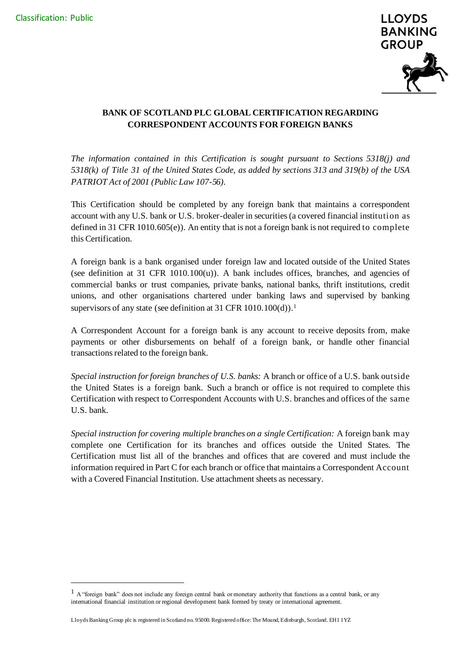

# **BANK OF SCOTLAND PLC GLOBAL CERTIFICATION REGARDING CORRESPONDENT ACCOUNTS FOR FOREIGN BANKS**

*The information contained in this Certification is sought pursuant to Sections 5318(j) and 5318(k) of Title 31 of the United States Code, as added by sections 313 and 319(b) of the USA PATRIOT Act of 2001 (Public Law 107-56).*

This Certification should be completed by any foreign bank that maintains a correspondent account with any U.S. bank or U.S. broker-dealer in securities (a covered financial institution as defined in 31 CFR 1010.605(e)). An entity that is not a foreign bank is not required to complete this Certification.

A foreign bank is a bank organised under foreign law and located outside of the United States (see definition at 31 CFR  $1010.100(u)$ ). A bank includes offices, branches, and agencies of commercial banks or trust companies, private banks, national banks, thrift institutions, credit unions, and other organisations chartered under banking laws and supervised by banking supervisors of any state (see definition at 31 CFR 1010.100(d)).<sup>1</sup>

A Correspondent Account for a foreign bank is any account to receive deposits from, make payments or other disbursements on behalf of a foreign bank, or handle other financial transactions related to the foreign bank.

*Special instruction for foreign branches of U.S. banks:* A branch or office of a U.S. bank outside the United States is a foreign bank. Such a branch or office is not required to complete this Certification with respect to Correspondent Accounts with U.S. branches and offices of the same U.S. bank.

*Special instruction for covering multiple branches on a single Certification:* A foreign bank may complete one Certification for its branches and offices outside the United States. The Certification must list all of the branches and offices that are covered and must include the information required in Part C for each branch or office that maintains a Correspondent Account with a Covered Financial Institution. Use attachment sheets as necessary.

 $1$  A "foreign bank" does not include any foreign central bank or monetary authority that functions as a central bank, or any international financial institution or regional development bank formed by treaty or international agreement.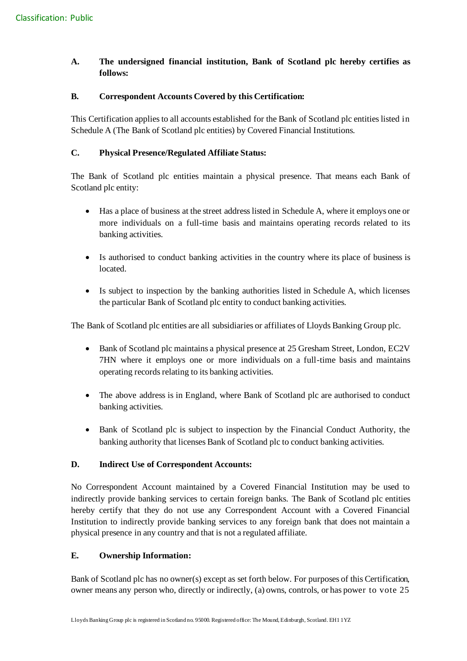# **A. The undersigned financial institution, Bank of Scotland plc hereby certifies as follows:**

## **B. Correspondent Accounts Covered by this Certification:**

This Certification applies to all accounts established for the Bank of Scotland plc entities listed in Schedule A (The Bank of Scotland plc entities) by Covered Financial Institutions.

## **C. Physical Presence/Regulated Affiliate Status:**

The Bank of Scotland plc entities maintain a physical presence. That means each Bank of Scotland plc entity:

- Has a place of business at the street address listed in Schedule A, where it employs one or more individuals on a full-time basis and maintains operating records related to its banking activities.
- Is authorised to conduct banking activities in the country where its place of business is located.
- Is subject to inspection by the banking authorities listed in Schedule A, which licenses the particular Bank of Scotland plc entity to conduct banking activities.

The Bank of Scotland plc entities are all subsidiaries or affiliates of Lloyds Banking Group plc.

- Bank of Scotland plc maintains a physical presence at 25 Gresham Street, London, EC2V 7HN where it employs one or more individuals on a full-time basis and maintains operating records relating to its banking activities.
- The above address is in England, where Bank of Scotland plc are authorised to conduct banking activities.
- Bank of Scotland plc is subject to inspection by the Financial Conduct Authority, the banking authority that licenses Bank of Scotland plc to conduct banking activities.

### **D. Indirect Use of Correspondent Accounts:**

No Correspondent Account maintained by a Covered Financial Institution may be used to indirectly provide banking services to certain foreign banks. The Bank of Scotland plc entities hereby certify that they do not use any Correspondent Account with a Covered Financial Institution to indirectly provide banking services to any foreign bank that does not maintain a physical presence in any country and that is not a regulated affiliate.

### **E. Ownership Information:**

Bank of Scotland plc has no owner(s) except as set forth below. For purposes of this Certification, owner means any person who, directly or indirectly, (a) owns, controls, or has power to vote 25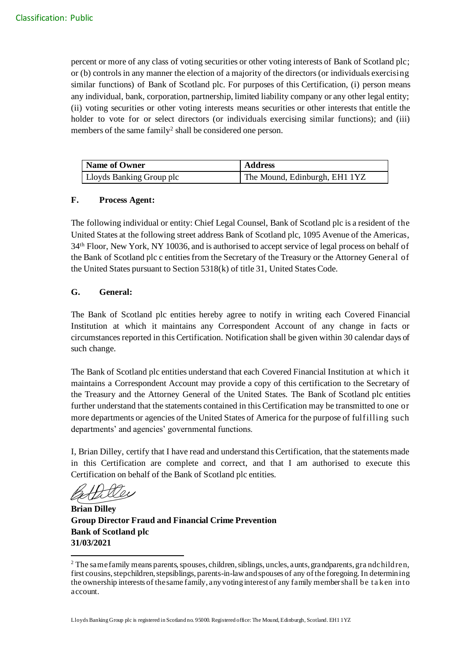percent or more of any class of voting securities or other voting interests of Bank of Scotland plc; or (b) controls in any manner the election of a majority of the directors (or individuals exercising similar functions) of Bank of Scotland plc. For purposes of this Certification, (i) person means any individual, bank, corporation, partnership, limited liability company or any other legal entity; (ii) voting securities or other voting interests means securities or other interests that entitle the holder to vote for or select directors (or individuals exercising similar functions); and (iii) members of the same family<sup>2</sup> shall be considered one person.

| Name of Owner            | <b>Address</b>                |
|--------------------------|-------------------------------|
| Lloyds Banking Group plc | The Mound, Edinburgh, EH1 1YZ |

#### **F. Process Agent:**

The following individual or entity: Chief Legal Counsel, Bank of Scotland plc is a resident of the United States at the following street address Bank of Scotland plc, 1095 Avenue of the Americas, 34th Floor, New York, NY 10036, and is authorised to accept service of legal process on behalf of the Bank of Scotland plc c entities from the Secretary of the Treasury or the Attorney General of the United States pursuant to Section 5318(k) of title 31, United States Code.

### **G. General:**

The Bank of Scotland plc entities hereby agree to notify in writing each Covered Financial Institution at which it maintains any Correspondent Account of any change in facts or circumstances reported in this Certification. Notification shall be given within 30 calendar days of such change.

The Bank of Scotland plc entities understand that each Covered Financial Institution at which it maintains a Correspondent Account may provide a copy of this certification to the Secretary of the Treasury and the Attorney General of the United States. The Bank of Scotland plc entities further understand that the statements contained in this Certification may be transmitted to one or more departments or agencies of the United States of America for the purpose of fulfilling such departments' and agencies' governmental functions.

I, Brian Dilley, certify that I have read and understand this Certification, that the statements made in this Certification are complete and correct, and that I am authorised to execute this Certification on behalf of the Bank of Scotland plc entities.

**Brian Dilley Group Director Fraud and Financial Crime Prevention Bank of Scotland plc 31/03/2021**

<sup>&</sup>lt;sup>2</sup> The same family means parents, spouses, children, siblings, uncles, aunts, grandparents, grandchildren, first cousins, stepchildren, stepsiblings, parents-in-law and spouses of any of the foregoing. In determining the ownership interests of the same family, any voting interest of any family member shall be ta ken into account.